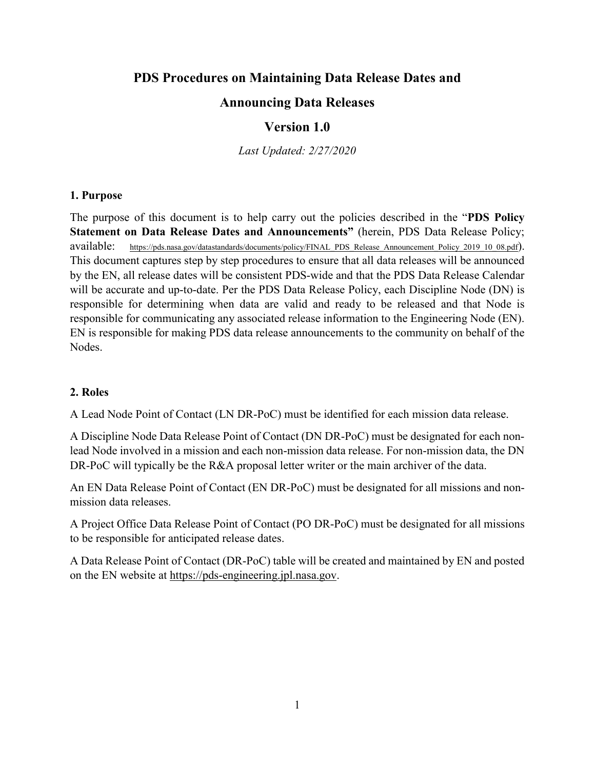# **PDS Procedures on Maintaining Data Release Dates and**

# **Announcing Data Releases**

# **Version 1.0**

*Last Updated: 2/27/2020*

### **1. Purpose**

The purpose of this document is to help carry out the policies described in the "**PDS Policy Statement on Data Release Dates and Announcements"** (herein, PDS Data Release Policy; available: [https://pds.nasa.gov/datastandards/documents/policy/FINAL\\_PDS\\_Release\\_Announcement\\_Policy\\_2019\\_10\\_08.pdf\)](https://pds.nasa.gov/datastandards/documents/policy/FINAL_PDS_Release_Announcement_Policy_2019_10_08.pdf). This document captures step by step procedures to ensure that all data releases will be announced by the EN, all release dates will be consistent PDS-wide and that the PDS Data Release Calendar will be accurate and up-to-date. Per the PDS Data Release Policy, each Discipline Node (DN) is responsible for determining when data are valid and ready to be released and that Node is responsible for communicating any associated release information to the Engineering Node (EN). EN is responsible for making PDS data release announcements to the community on behalf of the Nodes.

# **2. Roles**

A Lead Node Point of Contact (LN DR-PoC) must be identified for each mission data release.

A Discipline Node Data Release Point of Contact (DN DR-PoC) must be designated for each nonlead Node involved in a mission and each non-mission data release. For non-mission data, the DN DR-PoC will typically be the R&A proposal letter writer or the main archiver of the data.

An EN Data Release Point of Contact (EN DR-PoC) must be designated for all missions and nonmission data releases.

A Project Office Data Release Point of Contact (PO DR-PoC) must be designated for all missions to be responsible for anticipated release dates.

A Data Release Point of Contact (DR-PoC) table will be created and maintained by EN and posted on the EN website at [https://pds-engineering.jpl.nasa.gov.](https://pds-engineering.jpl.nasa.gov/)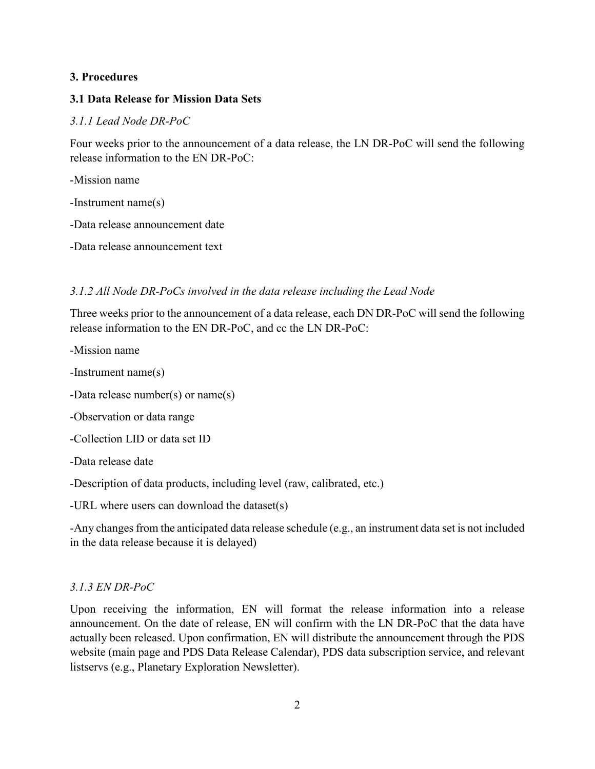# **3. Procedures**

# **3.1 Data Release for Mission Data Sets**

### *3.1.1 Lead Node DR-PoC*

Four weeks prior to the announcement of a data release, the LN DR-PoC will send the following release information to the EN DR-PoC:

-Mission name

-Instrument name(s)

-Data release announcement date

-Data release announcement text

# *3.1.2 All Node DR-PoCs involved in the data release including the Lead Node*

Three weeks prior to the announcement of a data release, each DN DR-PoC will send the following release information to the EN DR-PoC, and cc the LN DR-PoC:

-Mission name

-Instrument name(s)

-Data release number(s) or name(s)

-Observation or data range

-Collection LID or data set ID

-Data release date

-Description of data products, including level (raw, calibrated, etc.)

-URL where users can download the dataset(s)

-Any changes from the anticipated data release schedule (e.g., an instrument data set is not included in the data release because it is delayed)

# *3.1.3 EN DR-PoC*

Upon receiving the information, EN will format the release information into a release announcement. On the date of release, EN will confirm with the LN DR-PoC that the data have actually been released. Upon confirmation, EN will distribute the announcement through the PDS website (main page and PDS Data Release Calendar), PDS data subscription service, and relevant listservs (e.g., Planetary Exploration Newsletter).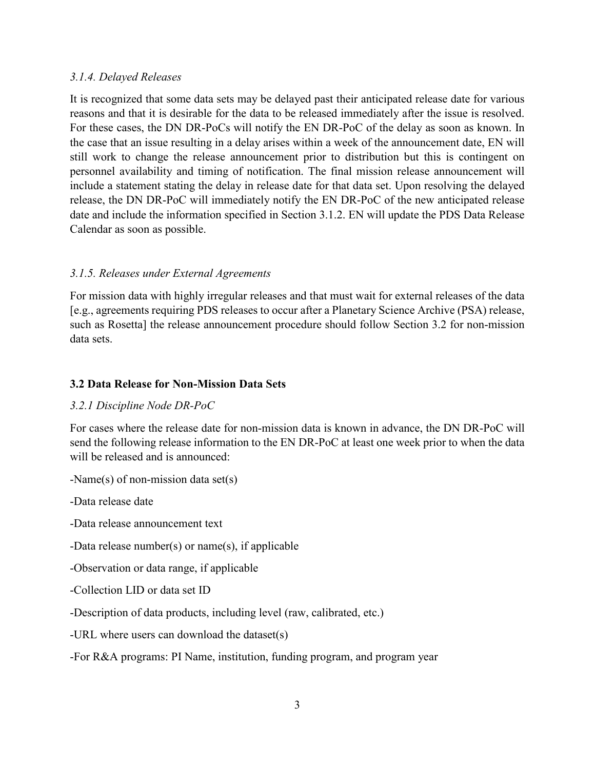### *3.1.4. Delayed Releases*

It is recognized that some data sets may be delayed past their anticipated release date for various reasons and that it is desirable for the data to be released immediately after the issue is resolved. For these cases, the DN DR-PoCs will notify the EN DR-PoC of the delay as soon as known. In the case that an issue resulting in a delay arises within a week of the announcement date, EN will still work to change the release announcement prior to distribution but this is contingent on personnel availability and timing of notification. The final mission release announcement will include a statement stating the delay in release date for that data set. Upon resolving the delayed release, the DN DR-PoC will immediately notify the EN DR-PoC of the new anticipated release date and include the information specified in Section 3.1.2. EN will update the PDS Data Release Calendar as soon as possible.

# *3.1.5. Releases under External Agreements*

For mission data with highly irregular releases and that must wait for external releases of the data [e.g., agreements requiring PDS releases to occur after a Planetary Science Archive (PSA) release, such as Rosetta] the release announcement procedure should follow Section 3.2 for non-mission data sets.

# **3.2 Data Release for Non-Mission Data Sets**

### *3.2.1 Discipline Node DR-PoC*

For cases where the release date for non-mission data is known in advance, the DN DR-PoC will send the following release information to the EN DR-PoC at least one week prior to when the data will be released and is announced:

-Name(s) of non-mission data set(s)

-Data release date

-Data release announcement text

-Data release number(s) or name(s), if applicable

-Observation or data range, if applicable

-Collection LID or data set ID

-Description of data products, including level (raw, calibrated, etc.)

-URL where users can download the dataset(s)

-For R&A programs: PI Name, institution, funding program, and program year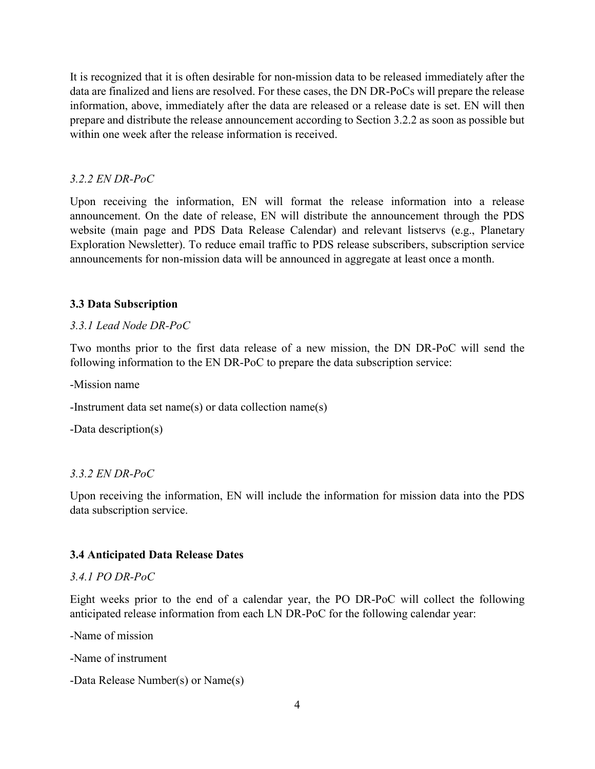It is recognized that it is often desirable for non-mission data to be released immediately after the data are finalized and liens are resolved. For these cases, the DN DR-PoCs will prepare the release information, above, immediately after the data are released or a release date is set. EN will then prepare and distribute the release announcement according to Section 3.2.2 as soon as possible but within one week after the release information is received.

### *3.2.2 EN DR-PoC*

Upon receiving the information, EN will format the release information into a release announcement. On the date of release, EN will distribute the announcement through the PDS website (main page and PDS Data Release Calendar) and relevant listservs (e.g., Planetary Exploration Newsletter). To reduce email traffic to PDS release subscribers, subscription service announcements for non-mission data will be announced in aggregate at least once a month.

### **3.3 Data Subscription**

#### *3.3.1 Lead Node DR-PoC*

Two months prior to the first data release of a new mission, the DN DR-PoC will send the following information to the EN DR-PoC to prepare the data subscription service:

-Mission name

-Instrument data set name(s) or data collection name(s)

-Data description(s)

#### *3.3.2 EN DR-PoC*

Upon receiving the information, EN will include the information for mission data into the PDS data subscription service.

#### **3.4 Anticipated Data Release Dates**

#### *3.4.1 PO DR-PoC*

Eight weeks prior to the end of a calendar year, the PO DR-PoC will collect the following anticipated release information from each LN DR-PoC for the following calendar year:

-Name of mission

-Name of instrument

```
-Data Release Number(s) or Name(s)
```